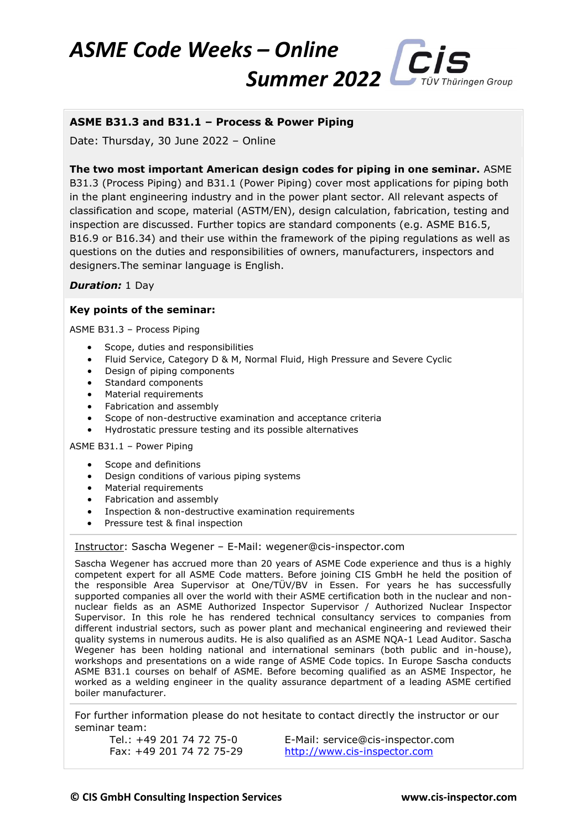## *ASME Code Weeks – Online Summer* 2022 *CIS* V Thüringen Group

## **ASME B31.3 and B31.1 – Process & Power Piping**

Date: Thursday, 30 June 2022 – Online

**The two most important American design codes for piping in one seminar.** ASME B31.3 (Process Piping) and B31.1 (Power Piping) cover most applications for piping both in the plant engineering industry and in the power plant sector. All relevant aspects of classification and scope, material (ASTM/EN), design calculation, fabrication, testing and inspection are discussed. Further topics are standard components (e.g. ASME B16.5, B16.9 or B16.34) and their use within the framework of the piping regulations as well as questions on the duties and responsibilities of owners, manufacturers, inspectors and designers.The seminar language is English.

*Duration:* 1 Day

## **Key points of the seminar:**

ASME B31.3 – Process Piping

- Scope, duties and responsibilities
- Fluid Service, Category D & M, Normal Fluid, High Pressure and Severe Cyclic
- Design of piping components
- Standard components
- Material requirements
- Fabrication and assembly
- Scope of non-destructive examination and acceptance criteria
- Hydrostatic pressure testing and its possible alternatives

ASME B31.1 – Power Piping

- Scope and definitions
- Design conditions of various piping systems
- Material requirements
- Fabrication and assembly
- Inspection & non-destructive examination requirements
- Pressure test & final inspection

Instructor: Sascha Wegener – E-Mail: wegener@cis-inspector.com

Sascha Wegener has accrued more than 20 years of ASME Code experience and thus is a highly competent expert for all ASME Code matters. Before joining CIS GmbH he held the position of the responsible Area Supervisor at One/TÜV/BV in Essen. For years he has successfully supported companies all over the world with their ASME certification both in the nuclear and nonnuclear fields as an ASME Authorized Inspector Supervisor / Authorized Nuclear Inspector Supervisor. In this role he has rendered technical consultancy services to companies from different industrial sectors, such as power plant and mechanical engineering and reviewed their quality systems in numerous audits. He is also qualified as an ASME NQA-1 Lead Auditor. Sascha Wegener has been holding national and international seminars (both public and in-house), workshops and presentations on a wide range of ASME Code topics. In Europe Sascha conducts ASME B31.1 courses on behalf of ASME. Before becoming qualified as an ASME Inspector, he worked as a welding engineer in the quality assurance department of a leading ASME certified boiler manufacturer.

For further information please do not hesitate to contact directly the instructor or our seminar team:

Tel.: +49 201 74 72 75-0 E-Mail: service@cis-inspector.com Fax: +49 201 74 72 75-29 [http://www.cis-inspector.com](http://www.cis-inspector.com/)